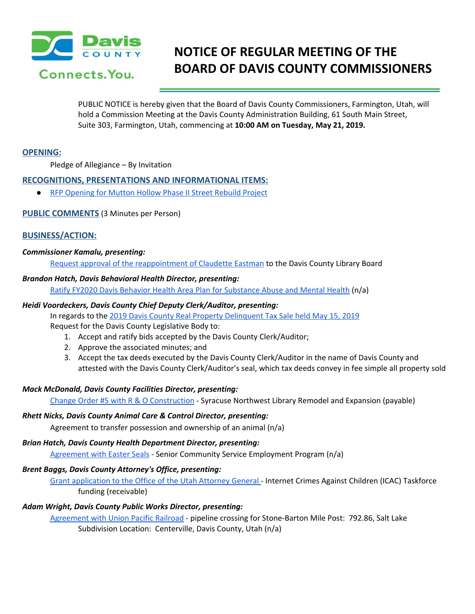

# **NOTICE OF REGULAR MEETING OF THE BOARD OF DAVIS COUNTY COMMISSIONERS**

PUBLIC NOTICE is hereby given that the Board of Davis County Commissioners, Farmington, Utah, will hold a Commission Meeting at the Davis County Administration Building, 61 South Main Street, Suite 303, Farmington, Utah, commencing at **10:00 AM on Tuesday, May 21, 2019.**

## **OPENING:**

Pledge of Allegiance – By Invitation

#### **RECOGNITIONS, PRESENTATIONS AND INFORMATIONAL ITEMS:**

● RFP [Opening](https://drive.google.com/a/co.davis.ut.us/file/d/1lG8Av7q3yxLivns_a0HpMW54wkrJINhQ/view?usp=drivesdk) for Mutton Hollow Phase II Street Rebuild Project

## **PUBLIC COMMENTS** (3 Minutes per Person)

#### **BUSINESS/ACTION:**

#### *Commissioner Kamalu, presenting:*

Request approval of the [reappointment](https://drive.google.com/a/co.davis.ut.us/file/d/1rMJerQmriycSZZaSWrLQome2DKRLjqo0/view?usp=drivesdk) of Claudette Eastman to the Davis County Library Board

#### *Brandon Hatch, Davis Behavioral Health Director, presenting:*

Ratify FY2020 Davis Behavior Health Area Plan for [Substance](https://drive.google.com/a/co.davis.ut.us/file/d/1kHbJRj1Tba5apS2hn5ROOjqMEyKZUYQg/view?usp=drivesdk) Abuse and Mental Health (n/a)

#### *Heidi Voordeckers, Davis County Chief Deputy Clerk/Auditor, presenting:*

In regards to the 2019 Davis County Real Property [Delinquent](https://drive.google.com/a/co.davis.ut.us/file/d/12hZnglKDQ8qaxnwkALpr55JkXkZVQDHF/view?usp=drivesdk) Tax Sale held May 15, 2019

Request for the Davis County Legislative Body to:

- 1. Accept and ratify bids accepted by the Davis County Clerk/Auditor;
- 2. Approve the associated minutes; and
- 3. Accept the tax deeds executed by the Davis County Clerk/Auditor in the name of Davis County and attested with the Davis County Clerk/Auditor's seal, which tax deeds convey in fee simple all property sold

#### *Mack McDonald, Davis County Facilities Director, presenting:*

Change Order #5 with R & O [Construction](https://drive.google.com/a/co.davis.ut.us/file/d/1x3rnEiJaQMNR3pFWAnbSYDKSRUGj7mmn/view?usp=drivesdk) - Syracuse Northwest Library Remodel and Expansion (payable)

#### *Rhett Nicks, Davis County Animal Care & Control Director, presenting:*

Agreement to transfer possession and ownership of an animal (n/a)

# *Brian Hatch, Davis County Health Department Director, presenting:*

[Agreement](https://drive.google.com/a/co.davis.ut.us/file/d/1IYEZywQCpNEQUJKFH7A_H-kGfIdOoGjp/view?usp=drivesdk) with Easter Seals - Senior Community Service Employment Program (n/a)

# *Brent Baggs, Davis County Attorney's Office, presenting:*

Grant [application](https://drive.google.com/a/co.davis.ut.us/file/d/1_iQN1NXWK0lzcjfk1homcbw06XSPOgUr/view?usp=drivesdk) to the Office of the Utah Attorney General - Internet Crimes Against Children (ICAC) Taskforce funding (receivable)

# *Adam Wright, Davis County Public Works Director, presenting:*

[Agreement](https://drive.google.com/a/co.davis.ut.us/file/d/1iDhlinc6WevUUYlheZufZvJ-FBZfherj/view?usp=drivesdk) with Union Pacific Railroad - pipeline crossing for Stone-Barton Mile Post: 792.86, Salt Lake Subdivision Location: Centerville, Davis County, Utah (n/a)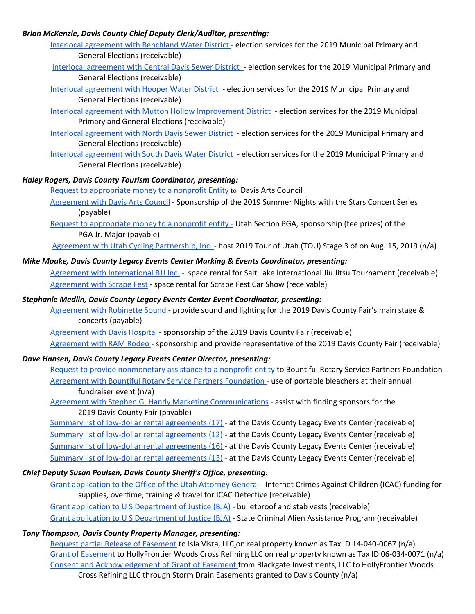## *Brian McKenzie, Davis County Chief Deputy Clerk/Auditor, presenting:*

- Interlocal [agreement](https://drive.google.com/a/co.davis.ut.us/file/d/11gu4bAT1J_4XGCOzxaqXDgDyqpKWnHMr/view?usp=drivesdk) with Benchland Water District election services for the 2019 Municipal Primary and General Elections (receivable)
- Interlocal [agreement](https://drive.google.com/a/co.davis.ut.us/file/d/1N3AqaRwLargO08qfzRvxFJUjmkULNIrl/view?usp=drivesdk) with Central Davis Sewer District election services for the 2019 Municipal Primary and General Elections (receivable)
- Interlocal [agreement](https://drive.google.com/a/co.davis.ut.us/file/d/1zL4NInUGgNhPchoixQD5dhANN7rlDSWL/view?usp=drivesdk) with Hooper Water District election services for the 2019 Municipal Primary and General Elections (receivable)
- Interlocal agreement with Mutton Hollow [Improvement](https://drive.google.com/a/co.davis.ut.us/file/d/1LAA5jKPw_6k9qnfCa0_R1Ulq4QnCrQUd/view?usp=drivesdk) District election services for the 2019 Municipal Primary and General Elections (receivable)
- Interlocal [agreement](https://drive.google.com/a/co.davis.ut.us/file/d/1Hhb_oOtuxwVwdj3cTAiK-GpGohJybUNR/view?usp=drivesdk) with North Davis Sewer District election services for the 2019 Municipal Primary and General Elections (receivable)
- Interlocal [agreement](https://drive.google.com/a/co.davis.ut.us/file/d/1oE7J7aKCq3wCjyOb5m1K4o1_Dh0-hRpA/view?usp=drivesdk) with South Davis Water District election services for the 2019 Municipal Primary and General Elections (receivable)

# *Haley Rogers, Davis County Tourism Coordinator, presenting:*

Request to [appropriate](https://drive.google.com/a/co.davis.ut.us/file/d/1WG4JOvF5HaeO2vOGAF4-wXdbhPVDYeRA/view?usp=drivesdk) money to a nonprofit Entity to Davis Arts Council

- [Agreement](https://drive.google.com/a/co.davis.ut.us/file/d/1dNOzOKnsoGQw7SE4RI-0k8Sptn-Bq4S2/view?usp=drivesdk) with Davis Arts Council Sponsorship of the 2019 Summer Nights with the Stars Concert Series (payable)
- Request to [appropriate](https://drive.google.com/a/co.davis.ut.us/file/d/1WG4JOvF5HaeO2vOGAF4-wXdbhPVDYeRA/view?usp=drivesdk) money to a nonprofit entity Utah Section PGA, sponsorship (tee prizes) of the PGA Jr. Major (payable)
- Agreement with Utah Cycling [Partnership,](https://drive.google.com/a/co.davis.ut.us/file/d/1oZoUoeh6OeY2Iwtw0gfvQrYVdXWL6xgo/view?usp=drivesdk) Inc. host 2019 Tour of Utah (TOU) Stage 3 of on Aug. 15, 2019 (n/a)

# *Mike Moake, Davis County Legacy Events Center Marking & Events Coordinator, presenting:*

Agreement with [International](https://drive.google.com/a/co.davis.ut.us/file/d/15FZ2q1tE3QFjjKrslulhmd8FS4rwagMN/view?usp=drivesdk) BJJ Inc. - space rental for Salt Lake International Jiu Jitsu Tournament (receivable) [Agreement](https://drive.google.com/a/co.davis.ut.us/file/d/1SSA2uwJX17ngLB2y6XJPvGK4K-ibAJxW/view?usp=drivesdk) with Scrape Fest - space rental for Scrape Fest Car Show (receivable)

## *Stephanie Medlin, Davis County Legacy Events Center Event Coordinator, presenting:*

- [Agreement](https://drive.google.com/a/co.davis.ut.us/file/d/1jY7sdNDkdW-InskM7_-WOcN8f0M2dgrN/view?usp=drivesdk) with Robinette Sound provide sound and lighting for the 2019 Davis County Fair's main stage & concerts (payable)
- [Agreement](https://drive.google.com/a/co.davis.ut.us/file/d/1kg-froKoAudooWT148KoyMbllzd7UdVx/view?usp=drivesdk) with Davis Hospital sponsorship of the 2019 Davis County Fair (receivable)

[Agreement](https://drive.google.com/a/co.davis.ut.us/file/d/1yMklB6lA8brme6tIQypUMeP8et1iwwOf/view?usp=drivesdk) with RAM Rodeo - sponsorship and provide representative of the 2019 Davis County Fair (receivable)

## *Dave Hansen, Davis County Legacy Events Center Director, presenting:*

- Request to provide [nonmonetary](https://drive.google.com/a/co.davis.ut.us/file/d/1UxGgFtKlcbbGjLnsuuZp7TlJBM5c4PGY/view?usp=drivesdk) assistance to a nonprofit entity to Bountiful Rotary Service Partners Foundation Agreement with Bountiful Rotary Service Partners [Foundation](https://drive.google.com/a/co.davis.ut.us/file/d/18FOtiS6eZb5XRXg901LFlgSe3CNJB3fo/view?usp=drivesdk) - use of portable bleachers at their annual fundraiser event (n/a)
- Agreement with Stephen G. Handy Marketing [Communications](https://drive.google.com/a/co.davis.ut.us/file/d/13GgPYJMhjW2yjvxaUe3qpuiOX6_yijdX/view?usp=drivesdk) assist with finding sponsors for the 2019 Davis County Fair (payable)

Summary list of low-dollar rental [agreements](https://drive.google.com/a/co.davis.ut.us/file/d/1v5wGprSPjsmXYGA5B6I2OkqAu-SgneFb/view?usp=drivesdk) (17) - at the Davis County Legacy Events Center (receivable) Summary list of low-dollar rental [agreements](https://drive.google.com/a/co.davis.ut.us/file/d/1iEICmtj4x2vz-BjYyStSd7pXGGYqz_qJ/view?usp=drivesdk) (12) - at the Davis County Legacy Events Center (receivable) Summary list of low-dollar rental [agreements](https://drive.google.com/a/co.davis.ut.us/file/d/1kfRvpbEhi5CAo-J3eK8192qOwrgd-waM/view?usp=drivesdk) (16) [-](https://drive.google.com/a/co.davis.ut.us/file/d/1v5wGprSPjsmXYGA5B6I2OkqAu-SgneFb/view?usp=drivesdk) at the Davis County Legacy Events Center (receivable) Summary list of low-dollar rental [agreements](https://drive.google.com/a/co.davis.ut.us/file/d/1Ejz0TD9vzxNDWeogPdonlNkQIIhf2VDX/view?usp=drivesdk) (13) - at the Davis County Legacy Events Center (receivable)

# *Chief Deputy Susan Poulsen, Davis County Sheriff's Office, presenting:*

Grant [application](https://drive.google.com/a/co.davis.ut.us/file/d/18xMk-J-Ip4Gz2UlnNPCEJ7akzz1n-vP6/view?usp=drivesdk) to the Office of the Utah [Attorney](https://drive.google.com/a/co.davis.ut.us/file/d/1_iQN1NXWK0lzcjfk1homcbw06XSPOgUr/view?usp=drivesdk) General - Internet Crimes Against Children (ICAC) funding for supplies, overtime, training & travel for ICAC Detective (receivable)

Grant application to U S [Department](https://drive.google.com/a/co.davis.ut.us/file/d/1LvT8UeMzkigGQSuVYU4O6gqYeQJLm3CL/view?usp=drivesdk) of Justice (BJA) - bulletproof and stab vests (receivable) Grant application to U S [Department](https://drive.google.com/a/co.davis.ut.us/file/d/1KI_0OYMnZuV8HO5FfeZvgmUd8EpzRCBt/view?usp=drivesdk) of Justice (BJA) - State Criminal Alien Assistance Program (receivable)

## *Tony Thompson, Davis County Property Manager, presenting:*

Request partial Release of [Easement](https://drive.google.com/a/co.davis.ut.us/file/d/15OUpG6f07LOmCTlZEc39jGmzG6RLU5B1/view?usp=drivesdk) to Isla Vista, LLC on real property known as Tax ID 14-040-0067 (n/a) Grant of [Easement](https://drive.google.com/a/co.davis.ut.us/file/d/17JXHR32t6UVdSPEGCZRPzz1oKqAjBROA/view?usp=drivesdk) to HollyFrontier Woods Cross Refining LLC on real property known as Tax ID 06-034-0071 (n/a) Consent and [Acknowledgement](https://drive.google.com/a/co.davis.ut.us/file/d/1I8s4v23IoaUkL1WdC7nNTRXVlFmiyriY/view?usp=drivesdk) of Grant of Easement from Blackgate Investments, LLC to HollyFrontier Woods Cross Refining LLC through Storm Drain Easements granted to Davis County (n/a)